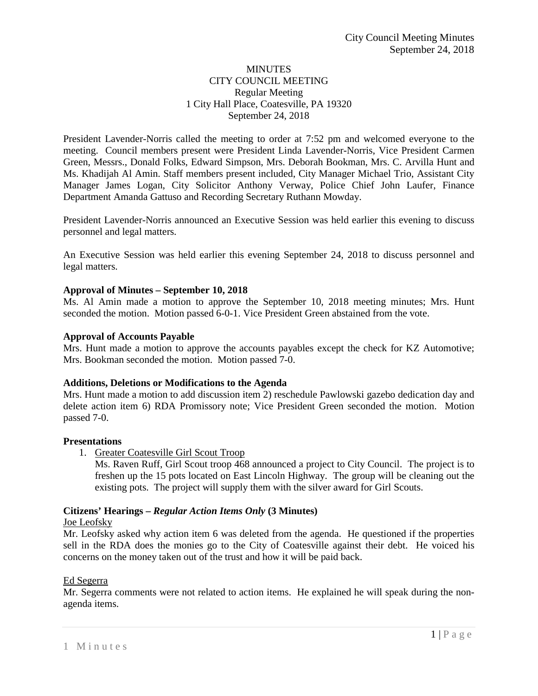### MINUTES CITY COUNCIL MEETING Regular Meeting 1 City Hall Place, Coatesville, PA 19320 September 24, 2018

President Lavender-Norris called the meeting to order at 7:52 pm and welcomed everyone to the meeting. Council members present were President Linda Lavender-Norris, Vice President Carmen Green, Messrs., Donald Folks, Edward Simpson, Mrs. Deborah Bookman, Mrs. C. Arvilla Hunt and Ms. Khadijah Al Amin. Staff members present included, City Manager Michael Trio, Assistant City Manager James Logan, City Solicitor Anthony Verway, Police Chief John Laufer, Finance Department Amanda Gattuso and Recording Secretary Ruthann Mowday.

President Lavender-Norris announced an Executive Session was held earlier this evening to discuss personnel and legal matters.

An Executive Session was held earlier this evening September 24, 2018 to discuss personnel and legal matters.

### **Approval of Minutes – September 10, 2018**

Ms. Al Amin made a motion to approve the September 10, 2018 meeting minutes; Mrs. Hunt seconded the motion. Motion passed 6-0-1. Vice President Green abstained from the vote.

### **Approval of Accounts Payable**

Mrs. Hunt made a motion to approve the accounts payables except the check for KZ Automotive; Mrs. Bookman seconded the motion. Motion passed 7-0.

### **Additions, Deletions or Modifications to the Agenda**

Mrs. Hunt made a motion to add discussion item 2) reschedule Pawlowski gazebo dedication day and delete action item 6) RDA Promissory note; Vice President Green seconded the motion. Motion passed 7-0.

# **Presentations**

- 1. Greater Coatesville Girl Scout Troop
	- Ms. Raven Ruff, Girl Scout troop 468 announced a project to City Council. The project is to freshen up the 15 pots located on East Lincoln Highway. The group will be cleaning out the existing pots. The project will supply them with the silver award for Girl Scouts.

# **Citizens' Hearings –** *Regular Action Items Only* **(3 Minutes)**

### Joe Leofsky

Mr. Leofsky asked why action item 6 was deleted from the agenda. He questioned if the properties sell in the RDA does the monies go to the City of Coatesville against their debt. He voiced his concerns on the money taken out of the trust and how it will be paid back.

### Ed Segerra

Mr. Segerra comments were not related to action items. He explained he will speak during the nonagenda items.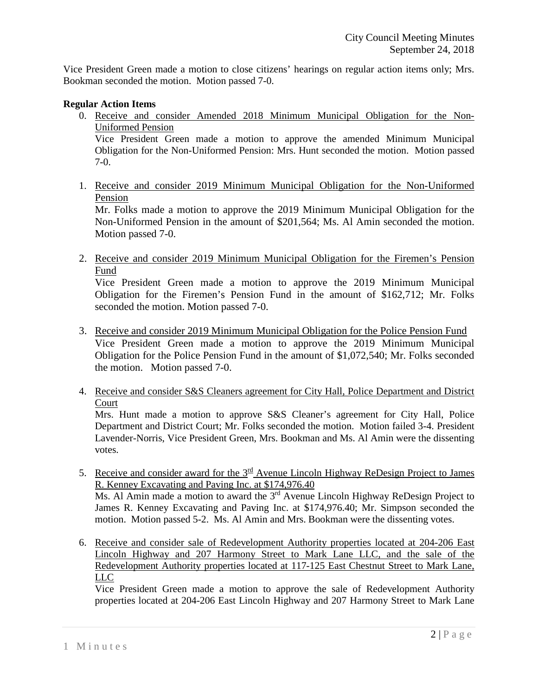Vice President Green made a motion to close citizens' hearings on regular action items only; Mrs. Bookman seconded the motion. Motion passed 7-0.

## **Regular Action Items**

0. Receive and consider Amended 2018 Minimum Municipal Obligation for the Non-Uniformed Pension

Vice President Green made a motion to approve the amended Minimum Municipal Obligation for the Non-Uniformed Pension: Mrs. Hunt seconded the motion. Motion passed 7-0.

1. Receive and consider 2019 Minimum Municipal Obligation for the Non-Uniformed Pension

Mr. Folks made a motion to approve the 2019 Minimum Municipal Obligation for the Non-Uniformed Pension in the amount of \$201,564; Ms. Al Amin seconded the motion. Motion passed 7-0.

2. Receive and consider 2019 Minimum Municipal Obligation for the Firemen's Pension Fund

Vice President Green made a motion to approve the 2019 Minimum Municipal Obligation for the Firemen's Pension Fund in the amount of \$162,712; Mr. Folks seconded the motion. Motion passed 7-0.

- 3. Receive and consider 2019 Minimum Municipal Obligation for the Police Pension Fund Vice President Green made a motion to approve the 2019 Minimum Municipal Obligation for the Police Pension Fund in the amount of \$1,072,540; Mr. Folks seconded the motion. Motion passed 7-0.
- 4. Receive and consider S&S Cleaners agreement for City Hall, Police Department and District Court

Mrs. Hunt made a motion to approve S&S Cleaner's agreement for City Hall, Police Department and District Court; Mr. Folks seconded the motion. Motion failed 3-4. President Lavender-Norris, Vice President Green, Mrs. Bookman and Ms. Al Amin were the dissenting votes.

- 5. Receive and consider award for the  $3<sup>rd</sup>$  Avenue Lincoln Highway ReDesign Project to James R. Kenney Excavating and Paving Inc. at \$174,976.40 Ms. Al Amin made a motion to award the  $3<sup>rd</sup>$  Avenue Lincoln Highway ReDesign Project to James R. Kenney Excavating and Paving Inc. at \$174,976.40; Mr. Simpson seconded the motion. Motion passed 5-2. Ms. Al Amin and Mrs. Bookman were the dissenting votes.
- 6. Receive and consider sale of Redevelopment Authority properties located at 204-206 East Lincoln Highway and 207 Harmony Street to Mark Lane LLC, and the sale of the Redevelopment Authority properties located at 117-125 East Chestnut Street to Mark Lane, LLC

Vice President Green made a motion to approve the sale of Redevelopment Authority properties located at 204-206 East Lincoln Highway and 207 Harmony Street to Mark Lane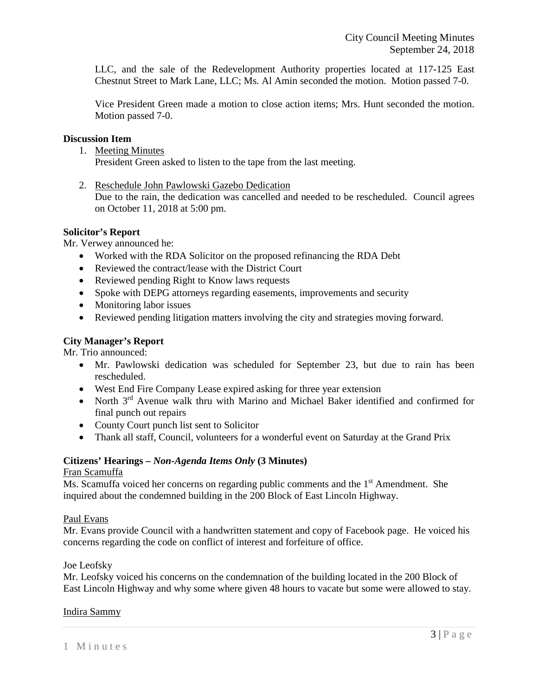LLC, and the sale of the Redevelopment Authority properties located at 117-125 East Chestnut Street to Mark Lane, LLC; Ms. Al Amin seconded the motion. Motion passed 7-0.

Vice President Green made a motion to close action items; Mrs. Hunt seconded the motion. Motion passed 7-0.

### **Discussion Item**

1. Meeting Minutes

President Green asked to listen to the tape from the last meeting.

2. Reschedule John Pawlowski Gazebo Dedication

Due to the rain, the dedication was cancelled and needed to be rescheduled. Council agrees on October 11, 2018 at 5:00 pm.

### **Solicitor's Report**

Mr. Verwey announced he:

- Worked with the RDA Solicitor on the proposed refinancing the RDA Debt
- Reviewed the contract/lease with the District Court
- Reviewed pending Right to Know laws requests
- Spoke with DEPG attorneys regarding easements, improvements and security
- Monitoring labor issues
- Reviewed pending litigation matters involving the city and strategies moving forward.

# **City Manager's Report**

Mr. Trio announced:

- Mr. Pawlowski dedication was scheduled for September 23, but due to rain has been rescheduled.
- West End Fire Company Lease expired asking for three year extension
- North  $3<sup>rd</sup>$  Avenue walk thru with Marino and Michael Baker identified and confirmed for final punch out repairs
- County Court punch list sent to Solicitor
- Thank all staff, Council, volunteers for a wonderful event on Saturday at the Grand Prix

# **Citizens' Hearings –** *Non-Agenda Items Only* **(3 Minutes)**

# Fran Scamuffa

Ms. Scamuffa voiced her concerns on regarding public comments and the 1<sup>st</sup> Amendment. She inquired about the condemned building in the 200 Block of East Lincoln Highway.

# Paul Evans

Mr. Evans provide Council with a handwritten statement and copy of Facebook page. He voiced his concerns regarding the code on conflict of interest and forfeiture of office.

# Joe Leofsky

Mr. Leofsky voiced his concerns on the condemnation of the building located in the 200 Block of East Lincoln Highway and why some where given 48 hours to vacate but some were allowed to stay.

# Indira Sammy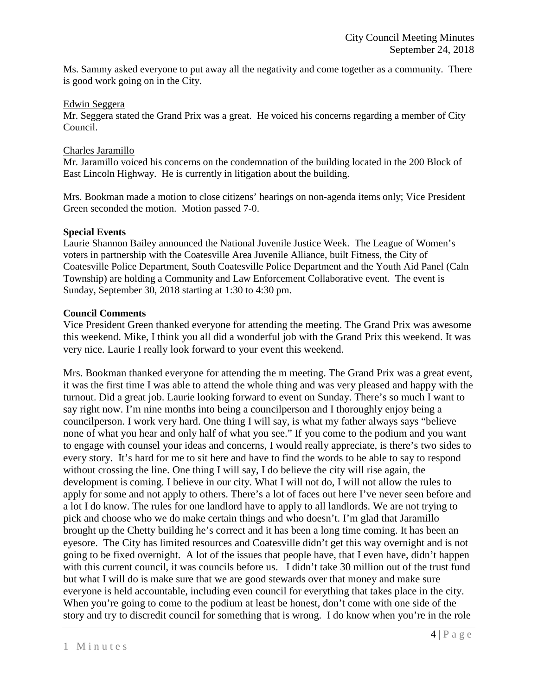Ms. Sammy asked everyone to put away all the negativity and come together as a community. There is good work going on in the City.

### Edwin Seggera

Mr. Seggera stated the Grand Prix was a great. He voiced his concerns regarding a member of City Council.

## Charles Jaramillo

Mr. Jaramillo voiced his concerns on the condemnation of the building located in the 200 Block of East Lincoln Highway. He is currently in litigation about the building.

Mrs. Bookman made a motion to close citizens' hearings on non-agenda items only; Vice President Green seconded the motion. Motion passed 7-0.

### **Special Events**

Laurie Shannon Bailey announced the National Juvenile Justice Week. The League of Women's voters in partnership with the Coatesville Area Juvenile Alliance, built Fitness, the City of Coatesville Police Department, South Coatesville Police Department and the Youth Aid Panel (Caln Township) are holding a Community and Law Enforcement Collaborative event. The event is Sunday, September 30, 2018 starting at 1:30 to 4:30 pm.

### **Council Comments**

Vice President Green thanked everyone for attending the meeting. The Grand Prix was awesome this weekend. Mike, I think you all did a wonderful job with the Grand Prix this weekend. It was very nice. Laurie I really look forward to your event this weekend.

Mrs. Bookman thanked everyone for attending the m meeting. The Grand Prix was a great event, it was the first time I was able to attend the whole thing and was very pleased and happy with the turnout. Did a great job. Laurie looking forward to event on Sunday. There's so much I want to say right now. I'm nine months into being a councilperson and I thoroughly enjoy being a councilperson. I work very hard. One thing I will say, is what my father always says "believe none of what you hear and only half of what you see." If you come to the podium and you want to engage with counsel your ideas and concerns, I would really appreciate, is there's two sides to every story. It's hard for me to sit here and have to find the words to be able to say to respond without crossing the line. One thing I will say, I do believe the city will rise again, the development is coming. I believe in our city. What I will not do, I will not allow the rules to apply for some and not apply to others. There's a lot of faces out here I've never seen before and a lot I do know. The rules for one landlord have to apply to all landlords. We are not trying to pick and choose who we do make certain things and who doesn't. I'm glad that Jaramillo brought up the Chetty building he's correct and it has been a long time coming. It has been an eyesore. The City has limited resources and Coatesville didn't get this way overnight and is not going to be fixed overnight. A lot of the issues that people have, that I even have, didn't happen with this current council, it was councils before us. I didn't take 30 million out of the trust fund but what I will do is make sure that we are good stewards over that money and make sure everyone is held accountable, including even council for everything that takes place in the city. When you're going to come to the podium at least be honest, don't come with one side of the story and try to discredit council for something that is wrong. I do know when you're in the role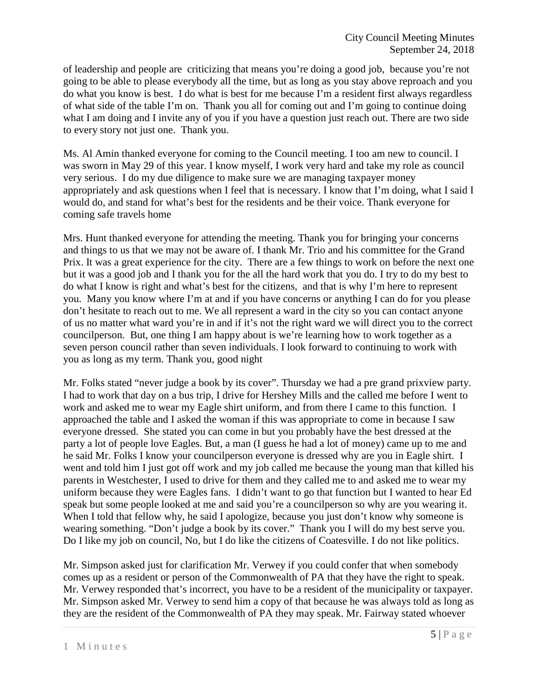of leadership and people are criticizing that means you're doing a good job, because you're not going to be able to please everybody all the time, but as long as you stay above reproach and you do what you know is best. I do what is best for me because I'm a resident first always regardless of what side of the table I'm on. Thank you all for coming out and I'm going to continue doing what I am doing and I invite any of you if you have a question just reach out. There are two side to every story not just one. Thank you.

Ms. Al Amin thanked everyone for coming to the Council meeting. I too am new to council. I was sworn in May 29 of this year. I know myself, I work very hard and take my role as council very serious. I do my due diligence to make sure we are managing taxpayer money appropriately and ask questions when I feel that is necessary. I know that I'm doing, what I said I would do, and stand for what's best for the residents and be their voice. Thank everyone for coming safe travels home

Mrs. Hunt thanked everyone for attending the meeting. Thank you for bringing your concerns and things to us that we may not be aware of. I thank Mr. Trio and his committee for the Grand Prix. It was a great experience for the city. There are a few things to work on before the next one but it was a good job and I thank you for the all the hard work that you do. I try to do my best to do what I know is right and what's best for the citizens, and that is why I'm here to represent you. Many you know where I'm at and if you have concerns or anything I can do for you please don't hesitate to reach out to me. We all represent a ward in the city so you can contact anyone of us no matter what ward you're in and if it's not the right ward we will direct you to the correct councilperson. But, one thing I am happy about is we're learning how to work together as a seven person council rather than seven individuals. I look forward to continuing to work with you as long as my term. Thank you, good night

Mr. Folks stated "never judge a book by its cover". Thursday we had a pre grand prixview party. I had to work that day on a bus trip, I drive for Hershey Mills and the called me before I went to work and asked me to wear my Eagle shirt uniform, and from there I came to this function. I approached the table and I asked the woman if this was appropriate to come in because I saw everyone dressed. She stated you can come in but you probably have the best dressed at the party a lot of people love Eagles. But, a man (I guess he had a lot of money) came up to me and he said Mr. Folks I know your councilperson everyone is dressed why are you in Eagle shirt. I went and told him I just got off work and my job called me because the young man that killed his parents in Westchester, I used to drive for them and they called me to and asked me to wear my uniform because they were Eagles fans. I didn't want to go that function but I wanted to hear Ed speak but some people looked at me and said you're a council person so why are you wearing it. When I told that fellow why, he said I apologize, because you just don't know why someone is wearing something. "Don't judge a book by its cover." Thank you I will do my best serve you. Do I like my job on council, No, but I do like the citizens of Coatesville. I do not like politics.

Mr. Simpson asked just for clarification Mr. Verwey if you could confer that when somebody comes up as a resident or person of the Commonwealth of PA that they have the right to speak. Mr. Verwey responded that's incorrect, you have to be a resident of the municipality or taxpayer. Mr. Simpson asked Mr. Verwey to send him a copy of that because he was always told as long as they are the resident of the Commonwealth of PA they may speak. Mr. Fairway stated whoever